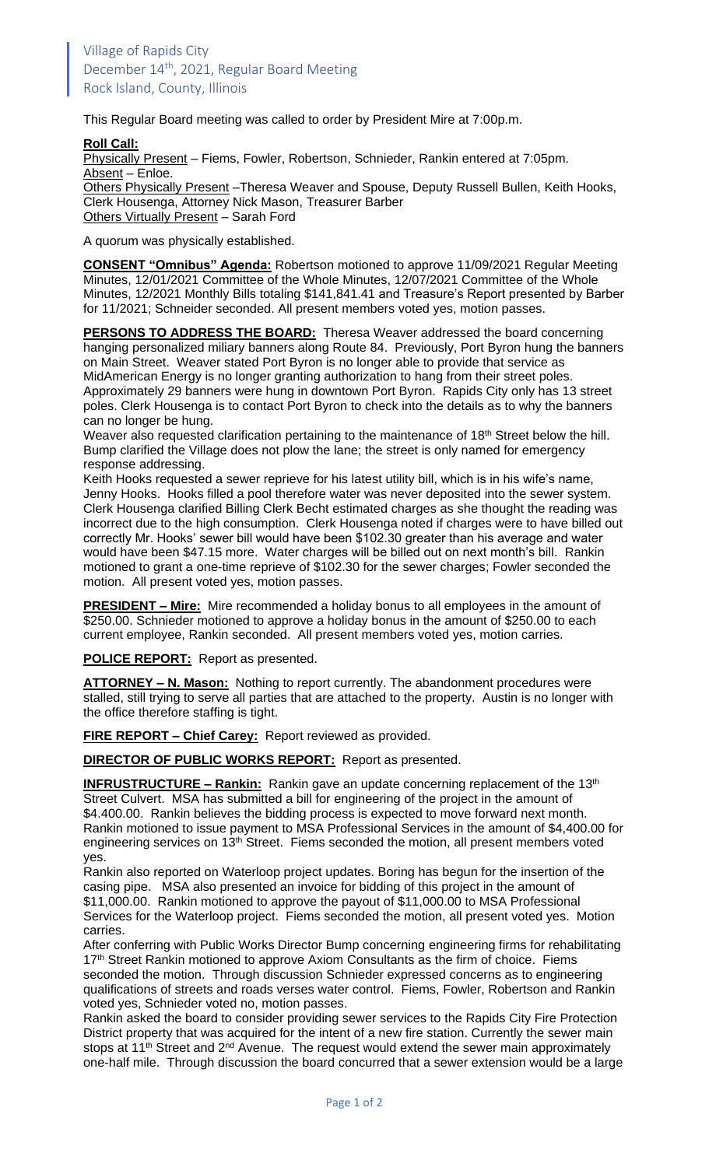This Regular Board meeting was called to order by President Mire at 7:00p.m.

## **Roll Call:**

Physically Present – Fiems, Fowler, Robertson, Schnieder, Rankin entered at 7:05pm. Absent - Enloe.

Others Physically Present –Theresa Weaver and Spouse, Deputy Russell Bullen, Keith Hooks, Clerk Housenga, Attorney Nick Mason, Treasurer Barber Others Virtually Present – Sarah Ford

A quorum was physically established.

**CONSENT "Omnibus" Agenda:** Robertson motioned to approve 11/09/2021 Regular Meeting Minutes, 12/01/2021 Committee of the Whole Minutes, 12/07/2021 Committee of the Whole Minutes, 12/2021 Monthly Bills totaling \$141,841.41 and Treasure's Report presented by Barber for 11/2021; Schneider seconded. All present members voted yes, motion passes.

**PERSONS TO ADDRESS THE BOARD:** Theresa Weaver addressed the board concerning hanging personalized miliary banners along Route 84. Previously, Port Byron hung the banners on Main Street. Weaver stated Port Byron is no longer able to provide that service as MidAmerican Energy is no longer granting authorization to hang from their street poles. Approximately 29 banners were hung in downtown Port Byron. Rapids City only has 13 street poles. Clerk Housenga is to contact Port Byron to check into the details as to why the banners can no longer be hung.

Weaver also requested clarification pertaining to the maintenance of 18<sup>th</sup> Street below the hill. Bump clarified the Village does not plow the lane; the street is only named for emergency response addressing.

Keith Hooks requested a sewer reprieve for his latest utility bill, which is in his wife's name, Jenny Hooks. Hooks filled a pool therefore water was never deposited into the sewer system. Clerk Housenga clarified Billing Clerk Becht estimated charges as she thought the reading was incorrect due to the high consumption. Clerk Housenga noted if charges were to have billed out correctly Mr. Hooks' sewer bill would have been \$102.30 greater than his average and water would have been \$47.15 more. Water charges will be billed out on next month's bill. Rankin motioned to grant a one-time reprieve of \$102.30 for the sewer charges; Fowler seconded the motion. All present voted yes, motion passes.

**PRESIDENT – Mire:** Mire recommended a holiday bonus to all employees in the amount of \$250.00. Schnieder motioned to approve a holiday bonus in the amount of \$250.00 to each current employee, Rankin seconded. All present members voted yes, motion carries.

**POLICE REPORT:** Report as presented.

**ATTORNEY – N. Mason:** Nothing to report currently. The abandonment procedures were stalled, still trying to serve all parties that are attached to the property. Austin is no longer with the office therefore staffing is tight.

**FIRE REPORT – Chief Carey:** Report reviewed as provided.

**DIRECTOR OF PUBLIC WORKS REPORT:** Report as presented.

**INFRUSTRUCTURE – Rankin:** Rankin gave an update concerning replacement of the 13<sup>th</sup> Street Culvert. MSA has submitted a bill for engineering of the project in the amount of \$4.400.00. Rankin believes the bidding process is expected to move forward next month. Rankin motioned to issue payment to MSA Professional Services in the amount of \$4,400.00 for engineering services on 13<sup>th</sup> Street. Fiems seconded the motion, all present members voted yes.

Rankin also reported on Waterloop project updates. Boring has begun for the insertion of the casing pipe. MSA also presented an invoice for bidding of this project in the amount of \$11,000.00. Rankin motioned to approve the payout of \$11,000.00 to MSA Professional Services for the Waterloop project. Fiems seconded the motion, all present voted yes. Motion carries.

After conferring with Public Works Director Bump concerning engineering firms for rehabilitating 17<sup>th</sup> Street Rankin motioned to approve Axiom Consultants as the firm of choice. Fiems seconded the motion. Through discussion Schnieder expressed concerns as to engineering qualifications of streets and roads verses water control. Fiems, Fowler, Robertson and Rankin voted yes, Schnieder voted no, motion passes.

Rankin asked the board to consider providing sewer services to the Rapids City Fire Protection District property that was acquired for the intent of a new fire station. Currently the sewer main stops at 11<sup>th</sup> Street and 2<sup>nd</sup> Avenue. The request would extend the sewer main approximately one-half mile. Through discussion the board concurred that a sewer extension would be a large